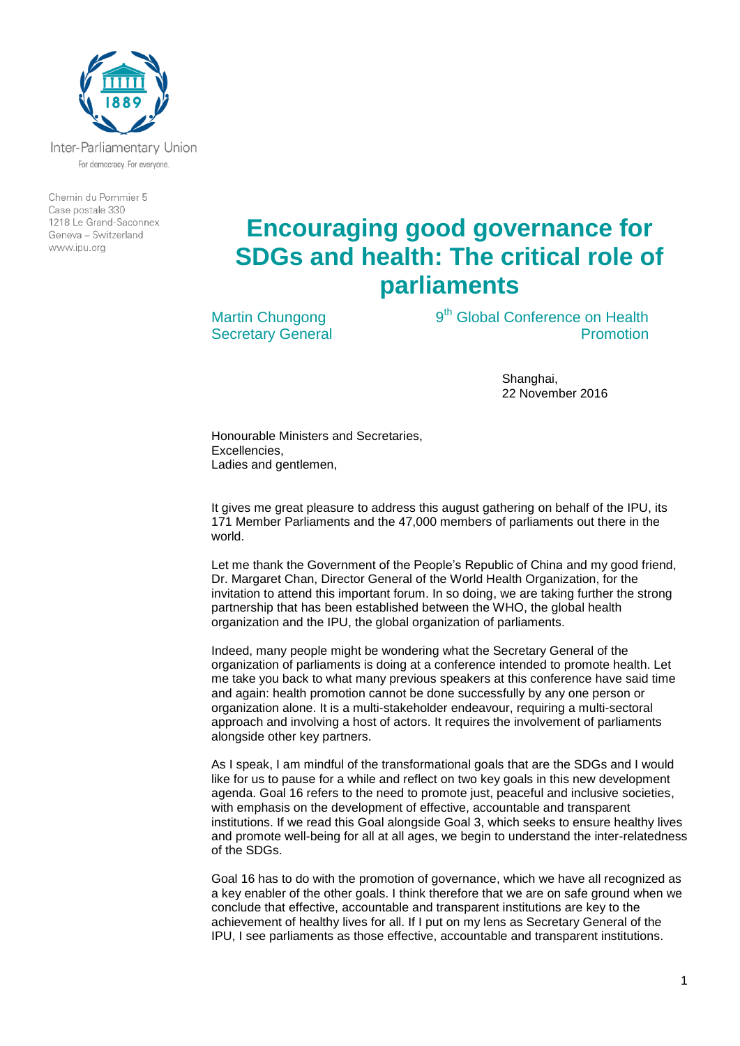

Inter-Parliamentary Union For democracy. For everyone.

Chemin du Pommier 5 Case postale 330 1218 Le Grand-Saconnex Geneva - Switzerland www.ipu.org

## **Encouraging good governance for SDGs and health: The critical role of parliaments**

Martin Chungong Secretary General 9<sup>th</sup> Global Conference on Health Promotion

> Shanghai, 22 November 2016

Honourable Ministers and Secretaries, Excellencies, Ladies and gentlemen,

It gives me great pleasure to address this august gathering on behalf of the IPU, its 171 Member Parliaments and the 47,000 members of parliaments out there in the world.

Let me thank the Government of the People's Republic of China and my good friend, Dr. Margaret Chan, Director General of the World Health Organization, for the invitation to attend this important forum. In so doing, we are taking further the strong partnership that has been established between the WHO, the global health organization and the IPU, the global organization of parliaments.

Indeed, many people might be wondering what the Secretary General of the organization of parliaments is doing at a conference intended to promote health. Let me take you back to what many previous speakers at this conference have said time and again: health promotion cannot be done successfully by any one person or organization alone. It is a multi-stakeholder endeavour, requiring a multi-sectoral approach and involving a host of actors. It requires the involvement of parliaments alongside other key partners.

As I speak, I am mindful of the transformational goals that are the SDGs and I would like for us to pause for a while and reflect on two key goals in this new development agenda. Goal 16 refers to the need to promote just, peaceful and inclusive societies, with emphasis on the development of effective, accountable and transparent institutions. If we read this Goal alongside Goal 3, which seeks to ensure healthy lives and promote well-being for all at all ages, we begin to understand the inter-relatedness of the SDGs.

Goal 16 has to do with the promotion of governance, which we have all recognized as a key enabler of the other goals. I think therefore that we are on safe ground when we conclude that effective, accountable and transparent institutions are key to the achievement of healthy lives for all. If I put on my lens as Secretary General of the IPU, I see parliaments as those effective, accountable and transparent institutions.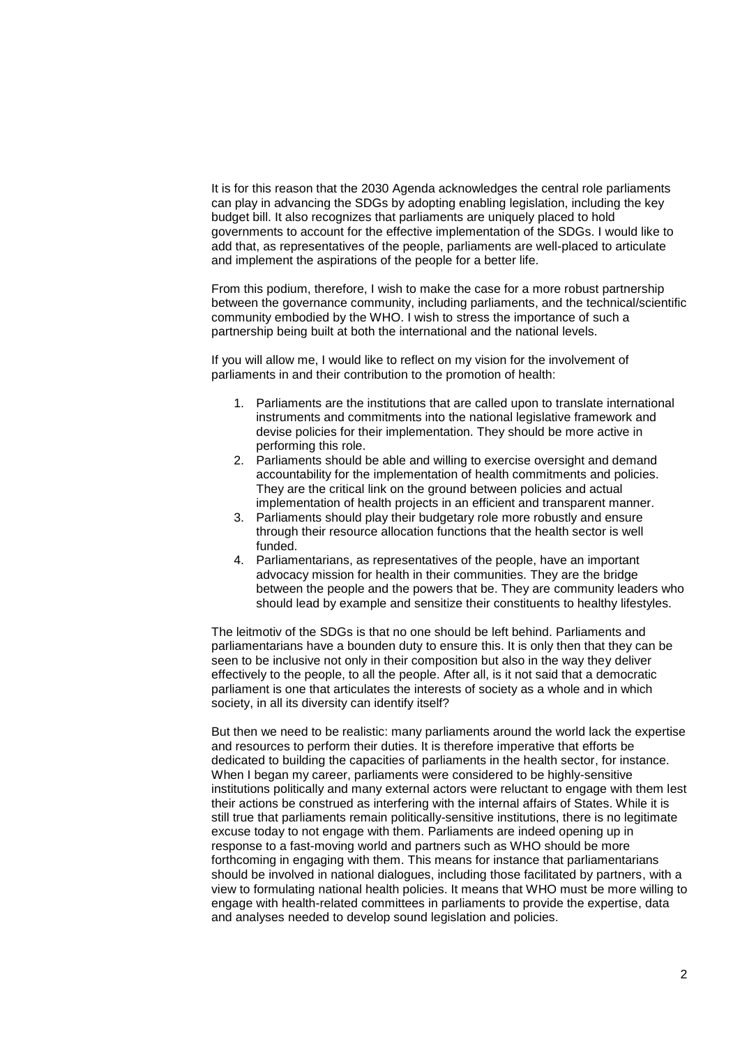It is for this reason that the 2030 Agenda acknowledges the central role parliaments can play in advancing the SDGs by adopting enabling legislation, including the key budget bill. It also recognizes that parliaments are uniquely placed to hold governments to account for the effective implementation of the SDGs. I would like to add that, as representatives of the people, parliaments are well-placed to articulate and implement the aspirations of the people for a better life.

From this podium, therefore, I wish to make the case for a more robust partnership between the governance community, including parliaments, and the technical/scientific community embodied by the WHO. I wish to stress the importance of such a partnership being built at both the international and the national levels.

If you will allow me, I would like to reflect on my vision for the involvement of parliaments in and their contribution to the promotion of health:

- 1. Parliaments are the institutions that are called upon to translate international instruments and commitments into the national legislative framework and devise policies for their implementation. They should be more active in performing this role.
- 2. Parliaments should be able and willing to exercise oversight and demand accountability for the implementation of health commitments and policies. They are the critical link on the ground between policies and actual implementation of health projects in an efficient and transparent manner.
- 3. Parliaments should play their budgetary role more robustly and ensure through their resource allocation functions that the health sector is well funded.
- 4. Parliamentarians, as representatives of the people, have an important advocacy mission for health in their communities. They are the bridge between the people and the powers that be. They are community leaders who should lead by example and sensitize their constituents to healthy lifestyles.

The leitmotiv of the SDGs is that no one should be left behind. Parliaments and parliamentarians have a bounden duty to ensure this. It is only then that they can be seen to be inclusive not only in their composition but also in the way they deliver effectively to the people, to all the people. After all, is it not said that a democratic parliament is one that articulates the interests of society as a whole and in which society, in all its diversity can identify itself?

But then we need to be realistic: many parliaments around the world lack the expertise and resources to perform their duties. It is therefore imperative that efforts be dedicated to building the capacities of parliaments in the health sector, for instance. When I began my career, parliaments were considered to be highly-sensitive institutions politically and many external actors were reluctant to engage with them lest their actions be construed as interfering with the internal affairs of States. While it is still true that parliaments remain politically-sensitive institutions, there is no legitimate excuse today to not engage with them. Parliaments are indeed opening up in response to a fast-moving world and partners such as WHO should be more forthcoming in engaging with them. This means for instance that parliamentarians should be involved in national dialogues, including those facilitated by partners, with a view to formulating national health policies. It means that WHO must be more willing to engage with health-related committees in parliaments to provide the expertise, data and analyses needed to develop sound legislation and policies.